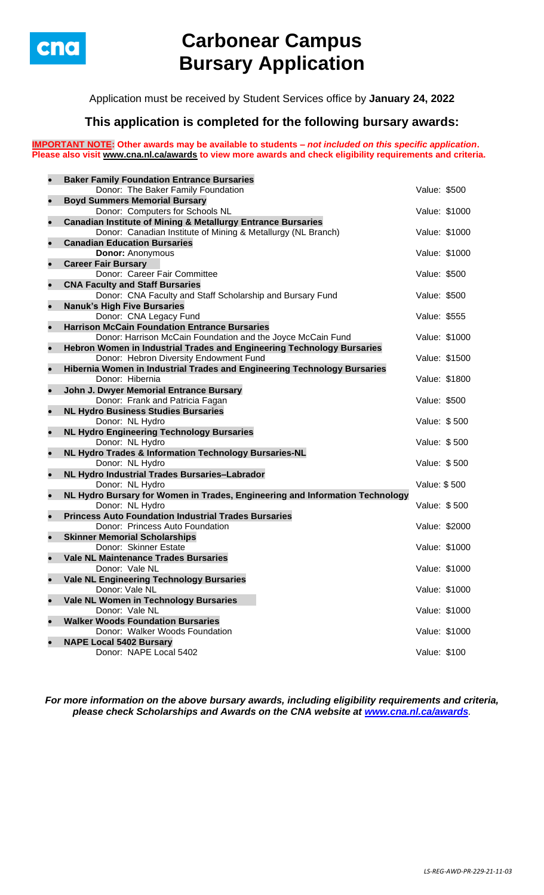

# **Carbonear Campus Bursary Application**

Application must be received by Student Services office by **January 24, 2022**

## **This application is completed for the following bursary awards:**

**IMPORTANT NOTE: Other awards may be available to students –** *not included on this specific application***. Please also visit [www.cna.nl.ca/awards](http://www.cna.nl.ca/awards) to view more awards and check eligibility requirements and criteria.**

| $\bullet$ | <b>Baker Family Foundation Entrance Bursaries</b>                            |               |  |
|-----------|------------------------------------------------------------------------------|---------------|--|
|           | Donor: The Baker Family Foundation                                           | Value: \$500  |  |
| $\bullet$ | <b>Boyd Summers Memorial Bursary</b>                                         |               |  |
|           | Donor: Computers for Schools NL                                              | Value: \$1000 |  |
| $\bullet$ | <b>Canadian Institute of Mining &amp; Metallurgy Entrance Bursaries</b>      |               |  |
|           | Donor: Canadian Institute of Mining & Metallurgy (NL Branch)                 | Value: \$1000 |  |
| $\bullet$ | <b>Canadian Education Bursaries</b>                                          |               |  |
|           | <b>Donor: Anonymous</b>                                                      | Value: \$1000 |  |
| $\bullet$ | <b>Career Fair Bursary</b>                                                   |               |  |
|           | Donor: Career Fair Committee                                                 | Value: \$500  |  |
| $\bullet$ | <b>CNA Faculty and Staff Bursaries</b>                                       |               |  |
|           | Donor: CNA Faculty and Staff Scholarship and Bursary Fund                    | Value: \$500  |  |
| $\bullet$ | <b>Nanuk's High Five Bursaries</b>                                           |               |  |
|           | Donor: CNA Legacy Fund                                                       | Value: \$555  |  |
| $\bullet$ | <b>Harrison McCain Foundation Entrance Bursaries</b>                         |               |  |
|           | Donor: Harrison McCain Foundation and the Joyce McCain Fund                  | Value: \$1000 |  |
| $\bullet$ | Hebron Women in Industrial Trades and Engineering Technology Bursaries       |               |  |
|           | Donor: Hebron Diversity Endowment Fund                                       | Value: \$1500 |  |
| $\bullet$ | Hibernia Women in Industrial Trades and Engineering Technology Bursaries     |               |  |
|           | Donor: Hibernia                                                              | Value: \$1800 |  |
| $\bullet$ | John J. Dwyer Memorial Entrance Bursary                                      |               |  |
|           | Donor: Frank and Patricia Fagan                                              | Value: \$500  |  |
| $\bullet$ | <b>NL Hydro Business Studies Bursaries</b>                                   |               |  |
|           | Donor: NL Hydro                                                              | Value: \$500  |  |
| $\bullet$ | <b>NL Hydro Engineering Technology Bursaries</b>                             |               |  |
| $\bullet$ | Donor: NL Hydro                                                              | Value: \$500  |  |
|           | NL Hydro Trades & Information Technology Bursaries-NL<br>Donor: NL Hydro     | Value: \$500  |  |
|           |                                                                              |               |  |
| $\bullet$ | NL Hydro Industrial Trades Bursaries-Labrador<br>Donor: NL Hydro             | Value: \$500  |  |
| $\bullet$ | NL Hydro Bursary for Women in Trades, Engineering and Information Technology |               |  |
|           | Donor: NL Hydro                                                              | Value: \$500  |  |
| $\bullet$ | <b>Princess Auto Foundation Industrial Trades Bursaries</b>                  |               |  |
|           | Donor: Princess Auto Foundation                                              | Value: \$2000 |  |
| $\bullet$ | <b>Skinner Memorial Scholarships</b>                                         |               |  |
|           | Donor: Skinner Estate                                                        | Value: \$1000 |  |
| $\bullet$ | <b>Vale NL Maintenance Trades Bursaries</b>                                  |               |  |
|           | Donor: Vale NL                                                               | Value: \$1000 |  |
| $\bullet$ | <b>Vale NL Engineering Technology Bursaries</b>                              |               |  |
|           | Donor: Vale NL                                                               | Value: \$1000 |  |
| $\bullet$ | Vale NL Women in Technology Bursaries                                        |               |  |
|           | Donor: Vale NL                                                               | Value: \$1000 |  |
| $\bullet$ | <b>Walker Woods Foundation Bursaries</b>                                     |               |  |
|           | Donor: Walker Woods Foundation                                               | Value: \$1000 |  |
| $\bullet$ | <b>NAPE Local 5402 Bursary</b>                                               |               |  |
|           | Donor: NAPE Local 5402                                                       | Value: \$100  |  |
|           |                                                                              |               |  |

*For more information on the above bursary awards, including eligibility requirements and criteria, please check Scholarships and Awards on the CNA website at [www.cna.nl.ca/awards](http://www.cna.nl.ca/awards).*